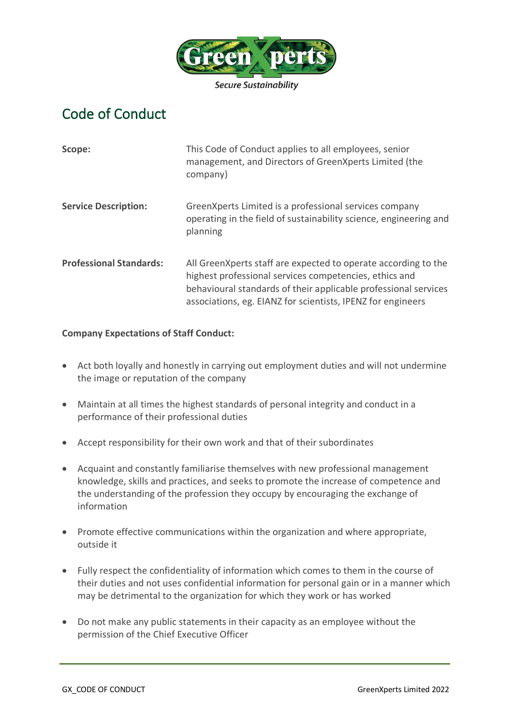

## Code of Conduct

| Scope:                         | This Code of Conduct applies to all employees, senior<br>management, and Directors of GreenXperts Limited (the<br>company)                                                                                                                                   |
|--------------------------------|--------------------------------------------------------------------------------------------------------------------------------------------------------------------------------------------------------------------------------------------------------------|
| <b>Service Description:</b>    | GreenXperts Limited is a professional services company<br>operating in the field of sustainability science, engineering and<br>planning                                                                                                                      |
| <b>Professional Standards:</b> | All Green X perts staff are expected to operate according to the<br>highest professional services competencies, ethics and<br>behavioural standards of their applicable professional services<br>associations, eg. EIANZ for scientists, IPENZ for engineers |

## **Company Expectations of Staff Conduct:**

- Act both loyally and honestly in carrying out employment duties and will not undermine the image or reputation of the company
- Maintain at all times the highest standards of personal integrity and conduct in a performance of their professional duties
- Accept responsibility for their own work and that of their subordinates
- Acquaint and constantly familiarise themselves with new professional management knowledge, skills and practices, and seeks to promote the increase of competence and the understanding of the profession they occupy by encouraging the exchange of information
- Promote effective communications within the organization and where appropriate, outside it
- Fully respect the confidentiality of information which comes to them in the course of their duties and not uses confidential information for personal gain or in a manner which may be detrimental to the organization for which they work or has worked
- Do not make any public statements in their capacity as an employee without the permission of the Chief Executive Officer